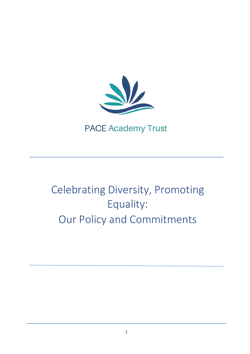

# **PACE Academy Trust**

# Celebrating Diversity, Promoting Equality: Our Policy and Commitments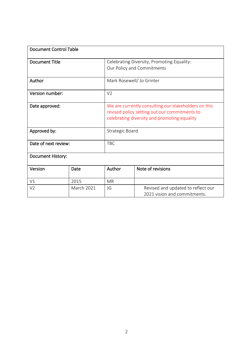| <b>Document Control Table</b> |                   |                                                                                                                                                       |                                                                    |
|-------------------------------|-------------------|-------------------------------------------------------------------------------------------------------------------------------------------------------|--------------------------------------------------------------------|
| <b>Document Title</b>         |                   | Celebrating Diversity, Promoting Equality:<br>Our Policy and Commitments                                                                              |                                                                    |
| Author                        |                   | Mark Rosewell/ Jo Grinter                                                                                                                             |                                                                    |
| Version number:               |                   | V <sub>2</sub>                                                                                                                                        |                                                                    |
| Date approved:                |                   | We are currently consulting our stakeholders on this<br>revised policy setting out our commitments to<br>celebrating diversity and promoting equality |                                                                    |
| Approved by:                  |                   | <b>Strategic Board</b>                                                                                                                                |                                                                    |
| Date of next review:          |                   | <b>TBC</b>                                                                                                                                            |                                                                    |
| <b>Document History:</b>      |                   |                                                                                                                                                       |                                                                    |
| Version                       | Date              | Author                                                                                                                                                | Note of revisions                                                  |
| V <sub>1</sub>                | 2015              | <b>MR</b>                                                                                                                                             |                                                                    |
| V <sub>2</sub>                | <b>March 2021</b> | JG                                                                                                                                                    | Revised and updated to reflect our<br>2021 vision and commitments. |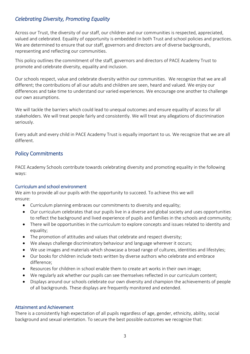# *Celebrating Diversity, Promoting Equality*

Across our Trust, the diversity of our staff, our children and our communities is respected, appreciated, valued and celebrated. Equality of opportunity is embedded in both Trust and school policies and practices. We are determined to ensure that our staff, governors and directors are of diverse backgrounds, representing and reflecting our communities.

This policy outlines the commitment of the staff, governors and directors of PACE Academy Trust to promote and celebrate diversity, equality and inclusion.

Our schools respect, value and celebrate diversity within our communities. We recognize that we are all different; the contributions of all our adults and children are seen, heard and valued. We enjoy our differences and take time to understand our varied experiences. We encourage one another to challenge our own assumptions.

We will tackle the barriers which could lead to unequal outcomes and ensure equality of access for all stakeholders. We will treat people fairly and consistently. We will treat any allegations of discrimination seriously.

Every adult and every child in PACE Academy Trust is equally important to us. We recognize that we are all different.

# Policy Commitments

PACE Academy Schools contribute towards celebrating diversity and promoting equality in the following ways:

# Curriculum and school environment

We aim to provide all our pupils with the opportunity to succeed. To achieve this we will ensure:

- Curriculum planning embraces our commitments to diversity and equality;
- Our curriculum celebrates that our pupils live in a diverse and global society and uses opportunities to reflect the background and lived experience of pupils and families in the schools and community;
- There will be opportunities in the curriculum to explore concepts and issues related to identity and equality;
- The promotion of attitudes and values that celebrate and respect diversity;
- We always challenge discriminatory behaviour and language wherever it occurs;
- We use images and materials which showcase a broad range of cultures, identities and lifestyles;
- Our books for children include texts written by diverse authors who celebrate and embrace difference;
- Resources for children in school enable them to create art works in their own image;
- We regularly ask whether our pupils can see themselves reflected in our curriculum content;
- Displays around our schools celebrate our own diversity and champion the achievements of people of all backgrounds. These displays are frequently monitored and extended.

#### Attainment and Achievement

There is a consistently high expectation of all pupils regardless of age, gender, ethnicity, ability, social background and sexual orientation. To secure the best possible outcomes we recognize that: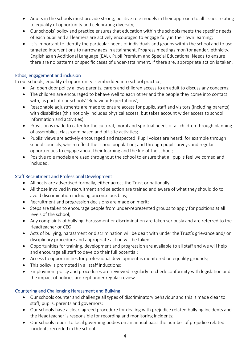- Adults in the schools must provide strong, positive role models in their approach to all issues relating to equality of opportunity and celebrating diversity;
- Our schools' policy and practice ensures that education within the schools meets the specific needs of each pupil and all learners are actively encouraged to engage fully in their own learning;
- It is important to identify the particular needs of individuals and groups within the school and to use targeted interventions to narrow gaps in attainment. Progress meetings monitor gender, ethnicity, English as an Additional Language (EAL), Pupil Premium and Special Educational Needs to ensure there are no patterns or specific cases of under-attainment. If there are, appropriate action is taken.

# Ethos, engagement and inclusion

In our schools, equality of opportunity is embedded into school practice;

- An open door policy allows parents, carers and children access to an adult to discuss any concerns;
- The children are encouraged to behave well to each other and the people they come into contact with, as part of our schools' 'Behaviour Expectations';
- Reasonable adjustments are made to ensure access for pupils, staff and visitors (including parents) with disabilities (this not only includes physical access, but takes account wider access to school information and activities);
- Provision is made to cater for the cultural, moral and spiritual needs of all children through planning of assemblies, classroom based and off-site activities;
- Pupils' views are actively encouraged and respected. Pupil voices are heard: for example through school councils, which reflect the school population; and through pupil surveys and regular opportunities to engage about their learning and the life of the school;
- Positive role models are used throughout the school to ensure that all pupils feel welcomed and included.

# Staff Recruitment and Professional Development

- All posts are advertised formally, either across the Trust or nationally;
- All those involved in recruitment and selection are trained and aware of what they should do to avoid discrimination including unconscious bias;
- Recruitment and progression decisions are made on merit;
- Steps are taken to encourage people from under-represented groups to apply for positions at all levels of the school;
- Any complaints of bullying, harassment or discrimination are taken seriously and are referred to the Headteacher or CEO;
- Acts of bullying, harassment or discrimination will be dealt with under the Trust's grievance and/ or disciplinary procedure and appropriate action will be taken;
- Opportunities for training, development and progression are available to all staff and we will help and encourage all staff to develop their full potential;
- Access to opportunities for professional development is monitored on equality grounds;
- This policy is promoted in all staff inductions;
- Employment policy and procedures are reviewed regularly to check conformity with legislation and the impact of policies are kept under regular review.

# Countering and Challenging Harassment and Bullying

- Our schools counter and challenge all types of discriminatory behaviour and this is made clear to staff, pupils, parents and governors;
- Our schools have a clear, agreed procedure for dealing with prejudice related bullying incidents and the Headteacher is responsible for recording and monitoring incidents;
- Our schools report to local governing bodies on an annual basis the number of prejudice related incidents recorded in the school.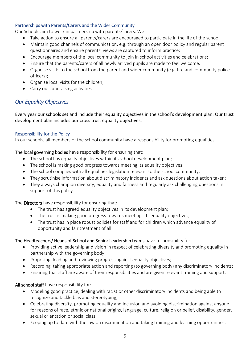# Partnerships with Parents/Carers and the Wider Community

Our Schools aim to work in partnership with parents/carers. We:

- Take action to ensure all parents/carers are encouraged to participate in the life of the school;
- Maintain good channels of communication, e.g. through an open door policy and regular parent questionnaires and ensure parents' views are captured to inform practice;
- Encourage members of the local community to join in school activities and celebrations;
- Ensure that the parents/carers of all newly arrived pupils are made to feel welcome.
- Organise visits to the school from the parent and wider community (e.g. fire and community police officers);
- Organise local visits for the children;
- Carry out fundraising activities.

# *Our Equality Objectives*

Every year our schools set and include their equality objectives in the school's development plan. Our trust development plan includes our cross trust equality objectives.

# Responsibility for the Policy

In our schools, all members of the school community have a responsibility for promoting equalities.

The local governing bodies have responsibility for ensuring that:

- The school has equality objectives within its school development plan;
- The school is making good progress towards meeting its equality objectives;
- The school complies with all equalities legislation relevant to the school community;
- They scrutinise information about discriminatory incidents and ask questions about action taken;
- They always champion diversity, equality and fairness and regularly ask challenging questions in support of this policy.

The Directors have responsibility for ensuring that:

- The trust has agreed equality objectives in its development plan;
- The trust is making good progress towards meetings its equality objectives;
- The trust has in place robust policies for staff and for children which advance equality of opportunity and fair treatment of all.

# The Headteachers/ Heads of School and Senior Leadership teams have responsibility for:

- Providing active leadership and vision in respect of celebrating diversity and promoting equality in partnership with the governing body;
- Proposing, leading and reviewing progress against equality objectives;
- Recording, taking appropriate action and reporting (to governing body) any discriminatory incidents;
- Ensuring that staff are aware of their responsibilities and are given relevant training and support.

# All school staff have responsibility for:

- Modeling good practice, dealing with racist or other discriminatory incidents and being able to recognize and tackle bias and stereotyping;
- Celebrating diversity, promoting equality and inclusion and avoiding discrimination against anyone for reasons of race, ethnic or national origins, language, culture, religion or belief, disability, gender, sexual orientation or social class;
- Keeping up to date with the law on discrimination and taking training and learning opportunities.